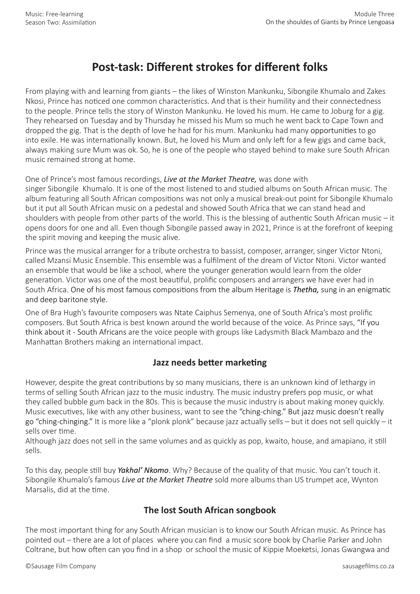# **Post-task: Different strokes for different folks**

From playing with and learning from giants – the likes of Winston Mankunku, Sibongile Khumalo and Zakes Nkosi, Prince has noticed one common characteristics. And that is their humility and their connectedness to the people. Prince tells the story of Winston Mankunku. He loved his mum. He came to Joburg for a gig. They rehearsed on Tuesday and by Thursday he missed his Mum so much he went back to Cape Town and dropped the gig. That is the depth of love he had for his mum. Mankunku had many opportunities to go into exile. He was internationally known. But, he loved his Mum and only left for a few gigs and came back, always making sure Mum was ok. So, he is one of the people who stayed behind to make sure South African music remained strong at home.

#### One of Prince's most famous recordings, *Live at the Market Theatre,* was done with

singer Sibongile Khumalo. It is one of the most listened to and studied albums on South African music. The album featuring all South African compositions was not only a musical break-out point for Sibongile Khumalo but it put all South African music on a pedestal and showed South Africa that we can stand head and shoulders with people from other parts of the world. This is the blessing of authentic South African music – it opens doors for one and all. Even though Sibongile passed away in 2021, Prince is at the forefront of keeping the spirit moving and keeping the music alive.

Prince was the musical arranger for a tribute orchestra to bassist, composer, arranger, singer Victor Ntoni, called Mzansi Music Ensemble. This ensemble was a fulfilment of the dream of Victor Ntoni. Victor wanted an ensemble that would be like a school, where the younger generation would learn from the older generation. Victor was one of the most beautiful, prolific composers and arrangers we have ever had in South Africa. One of his most famous compositions from the album Heritage is *Thetha,* sung in an enigmatic and deep baritone style.

One of Bra Hugh's favourite composers was Ntate Caiphus Semenya, one of South Africa's most prolific composers. But South Africa is best known around the world because of the voice. As Prince says, "If you think about it - South Africans are the voice people with groups like Ladysmith Black Mambazo and the Manhattan Brothers making an international impact.

## **Jazz needs better marketing**

However, despite the great contributions by so many musicians, there is an unknown kind of lethargy in terms of selling South African jazz to the music industry. The music industry prefers pop music, or what they called bubble gum back in the 80s. This is because the music industry is about making money quickly. Music executives, like with any other business, want to see the "ching-ching." But jazz music doesn't really go "ching-chinging." It is more like a "plonk plonk" because jazz actually sells – but it does not sell quickly – it sells over time.

Although jazz does not sell in the same volumes and as quickly as pop, kwaito, house, and amapiano, it still sells.

To this day, people still buy *Yakhal' Nkomo*. Why? Because of the quality of that music. You can't touch it. Sibongile Khumalo's famous *Live at the Market Theatre* sold more albums than US trumpet ace, Wynton Marsalis, did at the time.

## **The lost South African songbook**

The most important thing for any South African musician is to know our South African music. As Prince has pointed out – there are a lot of places where you can find a music score book by Charlie Parker and John Coltrane, but how often can you find in a shop or school the music of Kippie Moeketsi, Jonas Gwangwa and